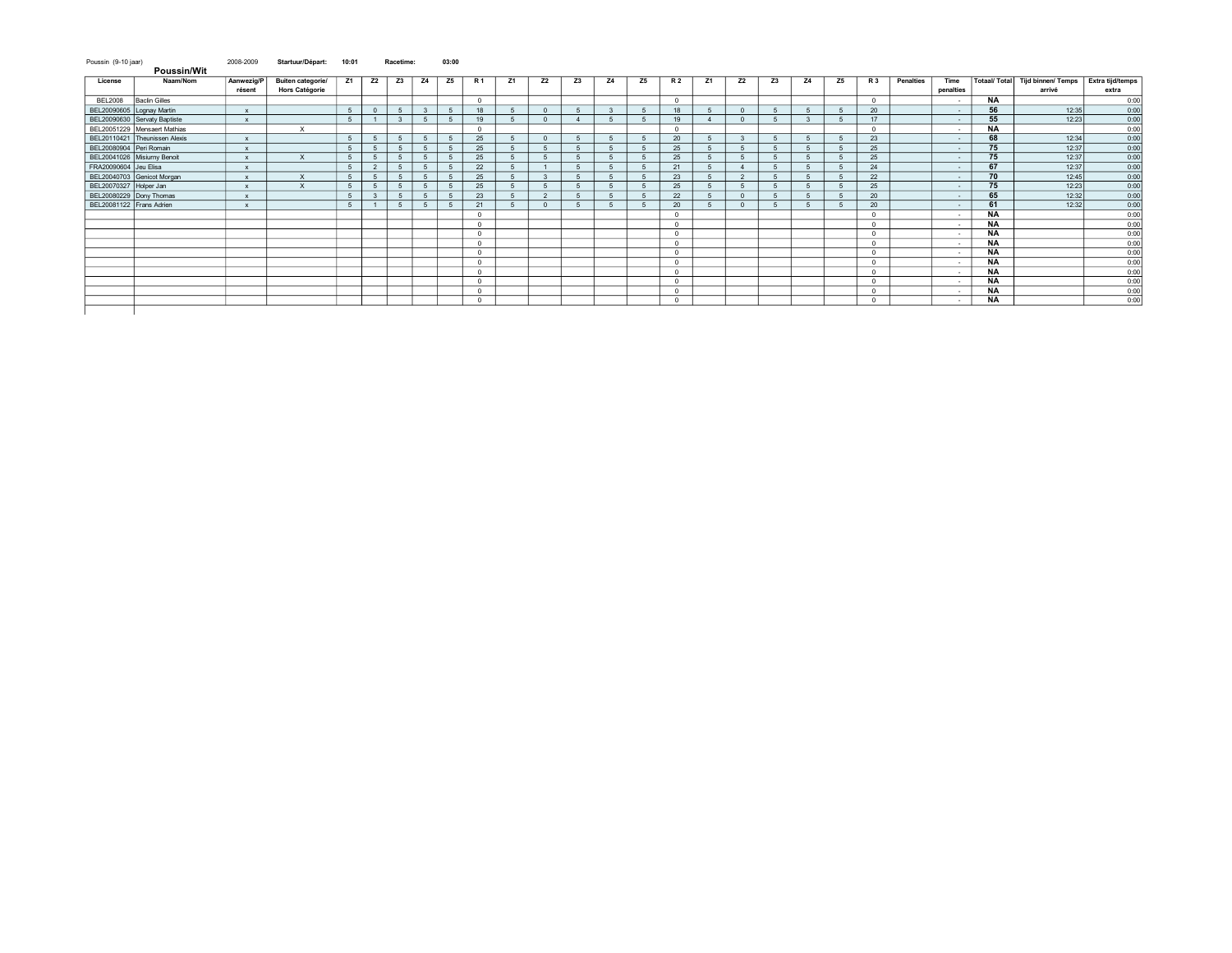| Poussin (9-10 jaar)<br><b>Poussin/Wit</b> |                               | 2008-2009            | Startuur/Départ:                           | 10:01          |                | Racetime:               |                | 03:00          |              |    |                |    |                |    |                         |    |              |           |    |    |                |           |                   |           |                                            |                           |
|-------------------------------------------|-------------------------------|----------------------|--------------------------------------------|----------------|----------------|-------------------------|----------------|----------------|--------------|----|----------------|----|----------------|----|-------------------------|----|--------------|-----------|----|----|----------------|-----------|-------------------|-----------|--------------------------------------------|---------------------------|
| License                                   | Naam/Nom                      | Aanwezig/P<br>résent | Buiten categorie/<br><b>Hors Catégorie</b> | Z1             | Z2             | Z3                      | <b>Z4</b>      | Z5             | R 1          | Z1 | Z2             | Z3 | Z4             | Z5 | <b>R2</b>               | Z1 | Z2           | <b>Z3</b> | 74 | Z5 | <b>R3</b>      | Penalties | Time<br>penalties |           | Totaal/ Total Tijd binnen/ Temps<br>arrivé | Extra tijd/temps<br>extra |
| <b>BEL2008</b>                            | <b>Baclin Gilles</b>          |                      |                                            |                |                |                         |                |                | $\Omega$     |    |                |    |                |    | $\sqrt{2}$              |    |              |           |    |    | $\Omega$       |           | $\sim$            | <b>NA</b> |                                            | 0:00                      |
| BEL20090605 Lognay Martin                 |                               |                      |                                            | 5              | $\Omega$       | 5                       | 3              | 5              | 18           |    | $\Omega$       |    | $\mathcal{R}$  |    | 18                      |    | $\Omega$     |           |    |    | 20             |           | $\sim$            | 56        | 12:35                                      | 0:00                      |
|                                           | BEL20090630 Servaty Baptiste  | $\mathbf{x}$         |                                            | 5              |                | $\overline{\mathbf{3}}$ | 5              | 5              | 19           |    | $\Omega$       |    | -5             | -5 | 19                      |    | $\mathbf{0}$ |           |    |    | 17             |           | $\sim$            | 55        | 12:23                                      | 0:00                      |
|                                           | BEL20051229 Mensaert Mathias  |                      | $\boldsymbol{\mathsf{x}}$                  |                |                |                         |                |                | $\Omega$     |    |                |    |                |    | $\sim$                  |    |              |           |    |    | $\overline{0}$ |           | $\sim$            | <b>NA</b> |                                            | 0:00                      |
|                                           | BEL20110421 Theunissen Alexis |                      |                                            | $5 -$          | 5              | 5                       | 5              | $\overline{5}$ | 25           |    | $\Omega$       |    | 5              |    | 20                      |    | $\mathbf{3}$ |           |    |    | 23             |           | $\sim$            | 68        | 12:34                                      | 0:00                      |
| BEL20080904 Peri Romain                   |                               | $\mathbf{x}$         |                                            | 5              | 5              | 5                       | -5             | 5              | 25           |    |                |    |                |    | 25                      |    | -5           |           |    |    | 25             |           | $\sim$            | 75        | 12:37                                      | 0:00                      |
| BEL20041026 Misiurny Benoit               |                               |                      | $\boldsymbol{\mathsf{x}}$                  | $5 -$          | 5              | -5                      |                | $\overline{5}$ | 25           |    |                |    |                |    | 25                      |    |              |           |    |    | 25             |           | $\sim$            | 75        | 12:37                                      | 0:00                      |
| FRA20090604 Jeu Elisa                     |                               |                      |                                            | $5 -$          | $\overline{2}$ | -5                      | $\overline{5}$ | -5             | 22           |    |                |    |                |    | 21                      |    |              |           |    |    | 24             |           | $\sim$            | 67        | 12:37                                      | 0:00                      |
|                                           | BEL20040703 Genicot Morgan    |                      | $\times$                                   | 5              | -5             | 5                       | $\overline{5}$ | 5              | 25           |    |                |    | 5              |    | 23                      |    | 2            |           |    |    | 22             |           | $\sim$            | 70        | 12:45                                      | 0:00                      |
| BEL20070327 Holper Jan                    |                               |                      | X                                          | $5 -$          | 5              | -5                      | $\sqrt{2}$     | $\overline{5}$ | 25           |    |                |    |                |    | 25                      |    |              |           |    |    | 25             |           | $\sim$            | 75        | 12:23                                      | 0:00                      |
| BEL20080229 Dony Thomas                   |                               | $\mathbf{x}$         |                                            | $5 -$          | $\mathbf{3}$   | 5                       | 5              | -5             | 23           |    | $\overline{2}$ |    |                |    | 22                      |    | $\Omega$     |           |    |    | 20             |           | $\sim$            | 65        | 12:32                                      | 0:00                      |
| BEL20081122 Frans Adrien                  |                               |                      |                                            | 5 <sup>5</sup> |                | 5                       | 5              | 5              | 21           |    | $\Omega$       |    | $\overline{a}$ |    | 20                      |    | $\mathbf{0}$ |           |    |    | 20             |           | $\sim$            | 61        | 12:32                                      | 0:00                      |
|                                           |                               |                      |                                            |                |                |                         |                |                | $^{\circ}$   |    |                |    |                |    | $\Omega$                |    |              |           |    |    | $\circ$        |           | $\sim$            | <b>NA</b> |                                            | 0:00                      |
|                                           |                               |                      |                                            |                |                |                         |                |                | $\mathbf{0}$ |    |                |    |                |    | $^{\circ}$              |    |              |           |    |    | $\circ$        |           | $\sim$            | <b>NA</b> |                                            | 0:00                      |
|                                           |                               |                      |                                            |                |                |                         |                |                | $^{\circ}$   |    |                |    |                |    | $\Omega$                |    |              |           |    |    | $\Omega$       |           | $\sim$            | <b>NA</b> |                                            | 0:00                      |
|                                           |                               |                      |                                            |                |                |                         |                |                | $\mathbf{0}$ |    |                |    |                |    | $^{\circ}$              |    |              |           |    |    | $\circ$        |           | $\sim$            | <b>NA</b> |                                            | 0:00                      |
|                                           |                               |                      |                                            |                |                |                         |                |                | $\Omega$     |    |                |    |                |    | $\sim$                  |    |              |           |    |    | $\overline{0}$ |           | $\sim$            | <b>NA</b> |                                            | 0:00                      |
|                                           |                               |                      |                                            |                |                |                         |                |                | $^{\circ}$   |    |                |    |                |    | $\Omega$                |    |              |           |    |    | $\Omega$       |           | $\sim$            | <b>NA</b> |                                            | 0:00                      |
|                                           |                               |                      |                                            |                |                |                         |                |                | $^{\circ}$   |    |                |    |                |    | $\overline{\mathbf{0}}$ |    |              |           |    |    | $\circ$        |           | $\sim$            | <b>NA</b> |                                            | 0:00                      |
|                                           |                               |                      |                                            |                |                |                         |                |                | $\Omega$     |    |                |    |                |    | $\Omega$                |    |              |           |    |    | $\Omega$       |           | $\sim$            | <b>NA</b> |                                            | 0:00                      |
|                                           |                               |                      |                                            |                |                |                         |                |                | $^{\circ}$   |    |                |    |                |    |                         |    |              |           |    |    | $\overline{0}$ |           | $\sim$            | <b>NA</b> |                                            | 0:00                      |
|                                           |                               |                      |                                            |                |                |                         |                |                | $\circ$      |    |                |    |                |    | $\Omega$                |    |              |           |    |    | $\circ$        |           | $\sim$            | <b>NA</b> |                                            | 0:00                      |